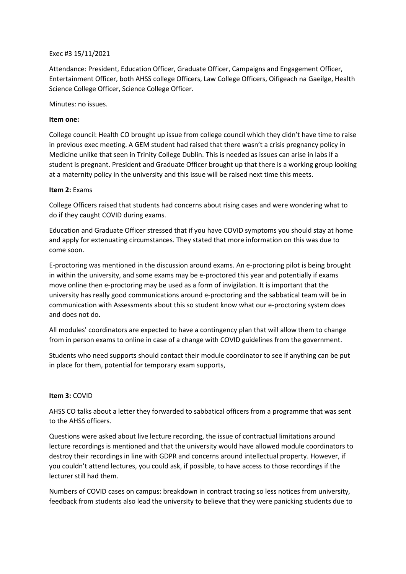# Exec #3 15/11/2021

Attendance: President, Education Officer, Graduate Officer, Campaigns and Engagement Officer, Entertainment Officer, both AHSS college Officers, Law College Officers, Oifigeach na Gaeilge, Health Science College Officer, Science College Officer.

Minutes: no issues.

#### **Item one:**

College council: Health CO brought up issue from college council which they didn't have time to raise in previous exec meeting. A GEM student had raised that there wasn't a crisis pregnancy policy in Medicine unlike that seen in Trinity College Dublin. This is needed as issues can arise in labs if a student is pregnant. President and Graduate Officer brought up that there is a working group looking at a maternity policy in the university and this issue will be raised next time this meets.

#### **Item 2:** Exams

College Officers raised that students had concerns about rising cases and were wondering what to do if they caught COVID during exams.

Education and Graduate Officer stressed that if you have COVID symptoms you should stay at home and apply for extenuating circumstances. They stated that more information on this was due to come soon.

E-proctoring was mentioned in the discussion around exams. An e-proctoring pilot is being brought in within the university, and some exams may be e-proctored this year and potentially if exams move online then e-proctoring may be used as a form of invigilation. It is important that the university has really good communications around e-proctoring and the sabbatical team will be in communication with Assessments about this so student know what our e-proctoring system does and does not do.

All modules' coordinators are expected to have a contingency plan that will allow them to change from in person exams to online in case of a change with COVID guidelines from the government.

Students who need supports should contact their module coordinator to see if anything can be put in place for them, potential for temporary exam supports,

# **Item 3:** COVID

AHSS CO talks about a letter they forwarded to sabbatical officers from a programme that was sent to the AHSS officers.

Questions were asked about live lecture recording, the issue of contractual limitations around lecture recordings is mentioned and that the university would have allowed module coordinators to destroy their recordings in line with GDPR and concerns around intellectual property. However, if you couldn't attend lectures, you could ask, if possible, to have access to those recordings if the lecturer still had them.

Numbers of COVID cases on campus: breakdown in contract tracing so less notices from university, feedback from students also lead the university to believe that they were panicking students due to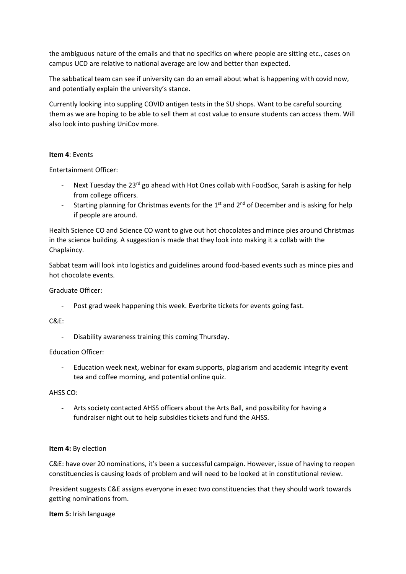the ambiguous nature of the emails and that no specifics on where people are sitting etc., cases on campus UCD are relative to national average are low and better than expected.

The sabbatical team can see if university can do an email about what is happening with covid now, and potentially explain the university's stance.

Currently looking into suppling COVID antigen tests in the SU shops. Want to be careful sourcing them as we are hoping to be able to sell them at cost value to ensure students can access them. Will also look into pushing UniCov more.

#### **Item 4**: Events

Entertainment Officer:

- Next Tuesday the  $23^{\text{rd}}$  go ahead with Hot Ones collab with FoodSoc. Sarah is asking for help from college officers.
- Starting planning for Christmas events for the  $1<sup>st</sup>$  and  $2<sup>nd</sup>$  of December and is asking for help if people are around.

Health Science CO and Science CO want to give out hot chocolates and mince pies around Christmas in the science building. A suggestion is made that they look into making it a collab with the Chaplaincy.

Sabbat team will look into logistics and guidelines around food-based events such as mince pies and hot chocolate events.

#### Graduate Officer:

Post grad week happening this week. Everbrite tickets for events going fast.

# C&E:

Disability awareness training this coming Thursday.

# Education Officer:

- Education week next, webinar for exam supports, plagiarism and academic integrity event tea and coffee morning, and potential online quiz.

# AHSS CO:

- Arts society contacted AHSS officers about the Arts Ball, and possibility for having a fundraiser night out to help subsidies tickets and fund the AHSS.

# **Item 4:** By election

C&E: have over 20 nominations, it's been a successful campaign. However, issue of having to reopen constituencies is causing loads of problem and will need to be looked at in constitutional review.

President suggests C&E assigns everyone in exec two constituencies that they should work towards getting nominations from.

#### **Item 5:** Irish language